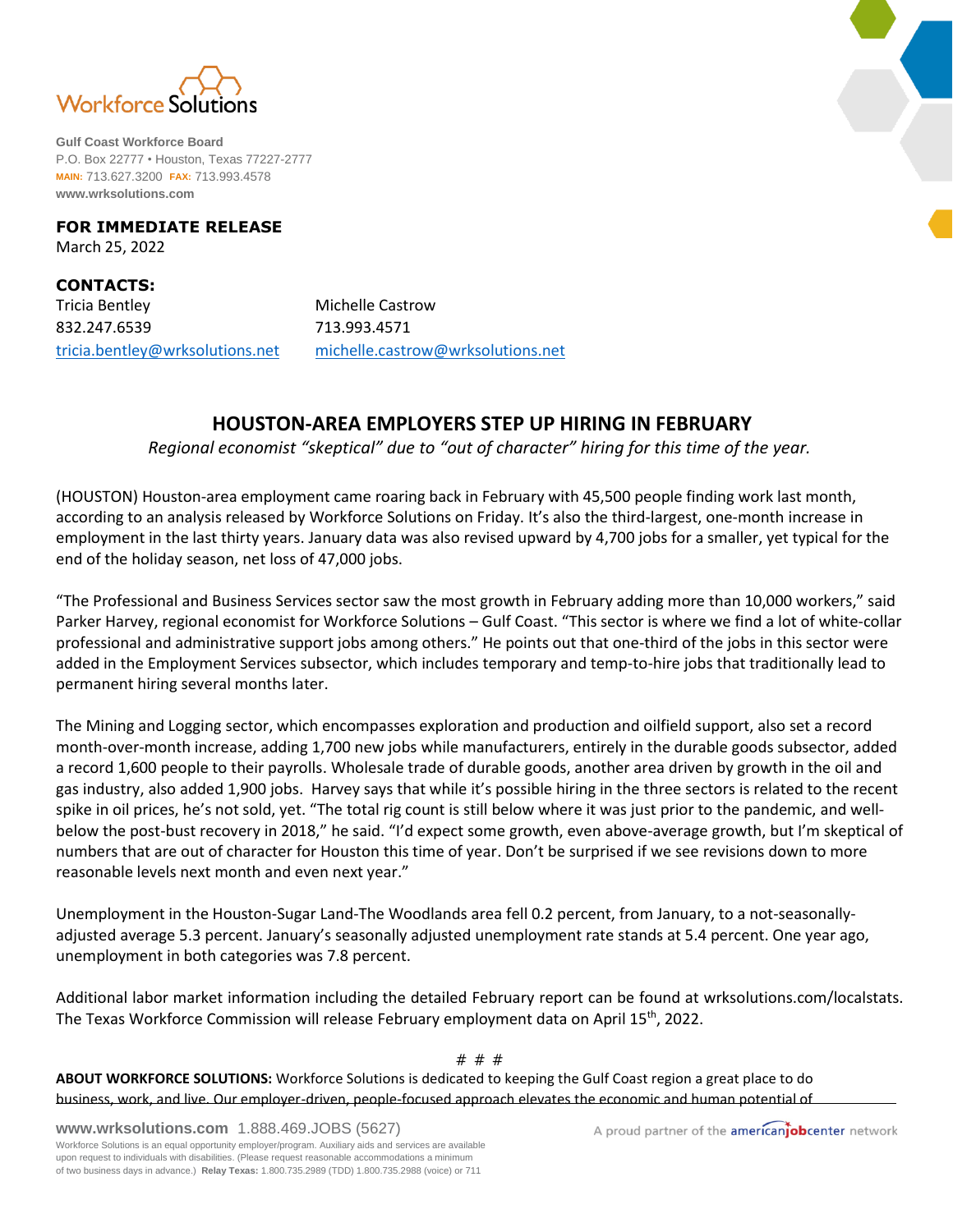

**Gulf Coast Workforce Board** P.O. Box 22777 • Houston, Texas 77227-2777 **MAIN:** 713.627.3200 **FAX:** 713.993.4578 **www.wrksolutions.com**

## **FOR IMMEDIATE RELEASE** March 25, 2022

**CONTACTS:** Tricia Bentley **Michelle Castrow** 832.247.6539 713.993.4571

[tricia.bentley@wrksolutions.net](mailto:tricia.bentley@wrksolutions.net) [michelle.castrow@wrksolutions.net](mailto:michelle.castrow@wrksolutions.net)

## **HOUSTON-AREA EMPLOYERS STEP UP HIRING IN FEBRUARY**

*Regional economist "skeptical" due to "out of character" hiring for this time of the year.*

(HOUSTON) Houston-area employment came roaring back in February with 45,500 people finding work last month, according to an analysis released by Workforce Solutions on Friday. It's also the third-largest, one-month increase in employment in the last thirty years. January data was also revised upward by 4,700 jobs for a smaller, yet typical for the end of the holiday season, net loss of 47,000 jobs.

"The Professional and Business Services sector saw the most growth in February adding more than 10,000 workers," said Parker Harvey, regional economist for Workforce Solutions – Gulf Coast. "This sector is where we find a lot of white-collar professional and administrative support jobs among others." He points out that one-third of the jobs in this sector were added in the Employment Services subsector, which includes temporary and temp-to-hire jobs that traditionally lead to permanent hiring several months later.

The Mining and Logging sector, which encompasses exploration and production and oilfield support, also set a record month-over-month increase, adding 1,700 new jobs while manufacturers, entirely in the durable goods subsector, added a record 1,600 people to their payrolls. Wholesale trade of durable goods, another area driven by growth in the oil and gas industry, also added 1,900 jobs. Harvey says that while it's possible hiring in the three sectors is related to the recent spike in oil prices, he's not sold, yet. "The total rig count is still below where it was just prior to the pandemic, and wellbelow the post-bust recovery in 2018," he said. "I'd expect some growth, even above-average growth, but I'm skeptical of numbers that are out of character for Houston this time of year. Don't be surprised if we see revisions down to more reasonable levels next month and even next year."

Unemployment in the Houston-Sugar Land-The Woodlands area fell 0.2 percent, from January, to a not-seasonallyadjusted average 5.3 percent. January's seasonally adjusted unemployment rate stands at 5.4 percent. One year ago, unemployment in both categories was 7.8 percent.

Additional labor market information including the detailed February report can be found at wrksolutions.com/localstats. The Texas Workforce Commission will release February employment data on April 15<sup>th</sup>, 2022.

## # # #

**ABOUT WORKFORCE SOLUTIONS:** Workforce Solutions is dedicated to keeping the Gulf Coast region a great place to do business, work, and live. Our employer-driven, people-focused approach elevates the economic and human potential of

**www.wrksolutions.com** 1.888.469.JOBS (5627)

A proud partner of the americanjobcenter network